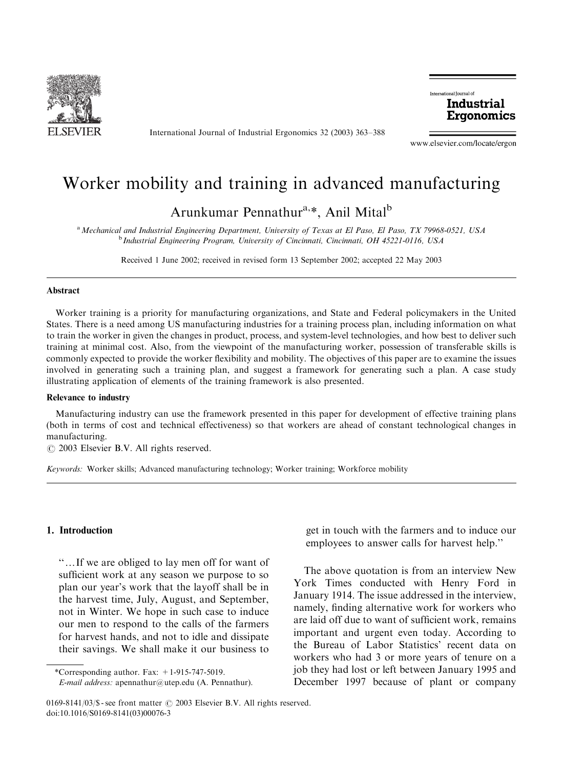

International Journal of Industrial Ergonomics 32 (2003) 363–388



www.elsevier.com/locate/ergon

## Worker mobility and training in advanced manufacturing

Arunkumar Pennathur<sup>a,\*</sup>, Anil Mital<sup>b</sup>

<sup>a</sup> Mechanical and Industrial Engineering Department, University of Texas at El Paso, El Paso, TX 79968-0521, USA <sup>b</sup> Industrial Engineering Program, University of Cincinnati, Cincinnati, OH 45221-0116, USA

Received 1 June 2002; received in revised form 13 September 2002; accepted 22 May 2003

### Abstract

Worker training is a priority for manufacturing organizations, and State and Federal policymakers in the United States. There is a need among US manufacturing industries for a training process plan, including information on what to train the worker in given the changes in product, process, and system-level technologies, and how best to deliver such training at minimal cost. Also, from the viewpoint of the manufacturing worker, possession of transferable skills is commonly expected to provide the worker flexibility and mobility. The objectives of this paper are to examine the issues involved in generating such a training plan, and suggest a framework for generating such a plan. Acase study illustrating application of elements of the training framework is also presented.

#### Relevance to industry

Manufacturing industry can use the framework presented in this paper for development of effective training plans (both in terms of cost and technical effectiveness) so that workers are ahead of constant technological changes in manufacturing.

 $\odot$  2003 Elsevier B.V. All rights reserved.

Keywords: Worker skills; Advanced manufacturing technology; Worker training; Workforce mobility

## 1. Introduction

"... If we are obliged to lay men off for want of sufficient work at any season we purpose to so plan our year's work that the layoff shall be in the harvest time, July, August, and September, not in Winter. We hope in such case to induce our men to respond to the calls of the farmers for harvest hands, and not to idle and dissipate their savings. We shall make it our business to

get in touch with the farmers and to induce our employees to answer calls for harvest help.''

The above quotation is from an interview New York Times conducted with Henry Ford in January 1914. The issue addressed in the interview, namely, finding alternative work for workers who are laid off due to want of sufficient work, remains important and urgent even today. According to the Bureau of Labor Statistics' recent data on workers who had 3 or more years of tenure on a job they had lost or left between January 1995 and December 1997 because of plant or company

<sup>\*</sup>Corresponding author. Fax: +1-915-747-5019. E-mail address: apennathur@utep.edu (A. Pennathur).

<sup>0169-8141/03/\$ -</sup> see front matter  $\odot$  2003 Elsevier B.V. All rights reserved. doi:10.1016/S0169-8141(03)00076-3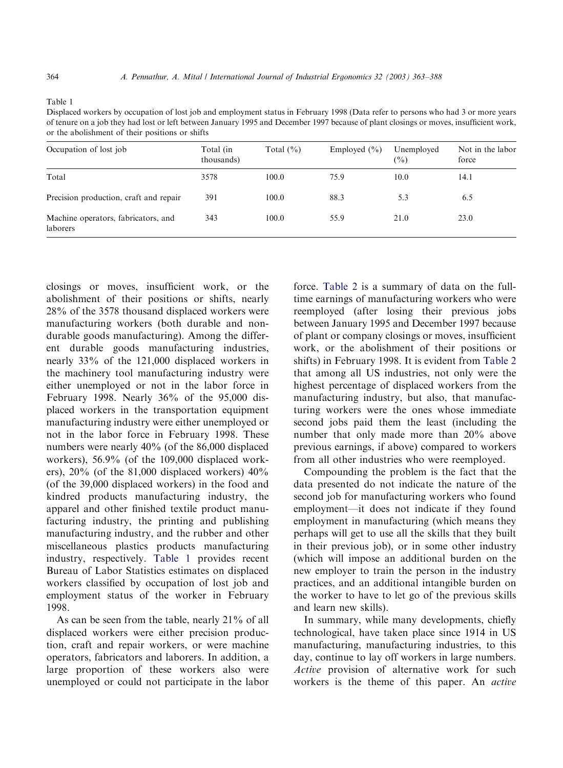Table 1

Displaced workers by occupation of lost job and employment status in February 1998 (Data refer to persons who had 3 or more years of tenure on a job they had lost or left between January 1995 and December 1997 because of plant closings or moves, insufficient work, or the abolishment of their positions or shifts

| Occupation of lost job                          | Total (in<br>thousands) | Total $(\% )$ | Employed $(\% )$ | Unemployed<br>$(\%)$ | Not in the labor<br>force |
|-------------------------------------------------|-------------------------|---------------|------------------|----------------------|---------------------------|
| Total                                           | 3578                    | 100.0         | 75.9             | 10.0                 | 14.1                      |
| Precision production, craft and repair          | 391                     | 100.0         | 88.3             | 5.3                  | 6.5                       |
| Machine operators, fabricators, and<br>laborers | 343                     | 100.0         | 55.9             | 21.0                 | 23.0                      |

closings or moves, insufficient work, or the abolishment of their positions or shifts, nearly 28% of the 3578 thousand displaced workers were manufacturing workers (both durable and nondurable goods manufacturing). Among the different durable goods manufacturing industries, nearly 33% of the 121,000 displaced workers in the machinery tool manufacturing industry were either unemployed or not in the labor force in February 1998. Nearly 36% of the 95,000 displaced workers in the transportation equipment manufacturing industry were either unemployed or not in the labor force in February 1998. These numbers were nearly 40% (of the 86,000 displaced workers), 56.9% (of the 109,000 displaced workers),  $20\%$  (of the 81,000 displaced workers)  $40\%$ (of the 39,000 displaced workers) in the food and kindred products manufacturing industry, the apparel and other finished textile product manufacturing industry, the printing and publishing manufacturing industry, and the rubber and other miscellaneous plastics products manufacturing industry, respectively. Table 1 provides recent Bureau of Labor Statistics estimates on displaced workers classified by occupation of lost job and employment status of the worker in February 1998.

As can be seen from the table, nearly 21% of all displaced workers were either precision production, craft and repair workers, or were machine operators, fabricators and laborers. In addition, a large proportion of these workers also were unemployed or could not participate in the labor force. [Table 2](#page--1-0) is a summary of data on the fulltime earnings of manufacturing workers who were reemployed (after losing their previous jobs between January 1995 and December 1997 because of plant or company closings or moves, insufficient work, or the abolishment of their positions or shifts) in February 1998. It is evident from [Table 2](#page--1-0) that among all US industries, not only were the highest percentage of displaced workers from the manufacturing industry, but also, that manufacturing workers were the ones whose immediate second jobs paid them the least (including the number that only made more than 20% above previous earnings, if above) compared to workers from all other industries who were reemployed.

Compounding the problem is the fact that the data presented do not indicate the nature of the second job for manufacturing workers who found employment—it does not indicate if they found employment in manufacturing (which means they perhaps will get to use all the skills that they built in their previous job), or in some other industry (which will impose an additional burden on the new employer to train the person in the industry practices, and an additional intangible burden on the worker to have to let go of the previous skills and learn new skills).

In summary, while many developments, chiefly technological, have taken place since 1914 in US manufacturing, manufacturing industries, to this day, continue to lay off workers in large numbers. Active provision of alternative work for such workers is the theme of this paper. An active